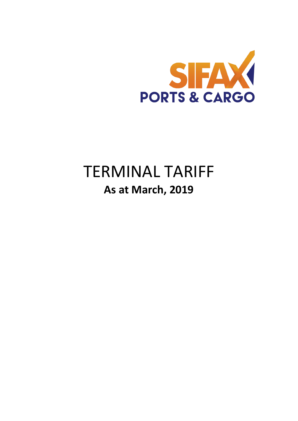

# TERMINAL TARIFF **As at March, 2019**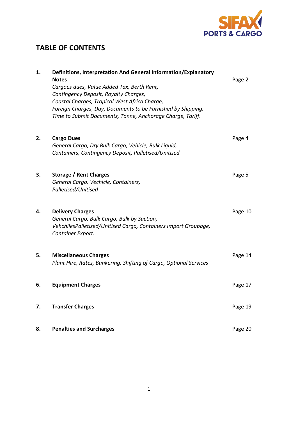

# **TABLE OF CONTENTS**

| 1. | Definitions, Interpretation And General Information/Explanatory<br><b>Notes</b><br>Cargoes dues, Value Added Tax, Berth Rent,<br>Contingency Deposit, Royalty Charges,<br>Coastal Charges, Tropical West Africa Charge,<br>Foreign Charges, Day, Documents to be Furnished by Shipping,<br>Time to Submit Documents, Tonne, Anchorage Charge, Tariff. | Page 2  |
|----|-------------------------------------------------------------------------------------------------------------------------------------------------------------------------------------------------------------------------------------------------------------------------------------------------------------------------------------------------------|---------|
| 2. | <b>Cargo Dues</b><br>General Cargo, Dry Bulk Cargo, Vehicle, Bulk Liquid,<br>Containers, Contingency Deposit, Palletised/Unitised                                                                                                                                                                                                                     | Page 4  |
| 3. | Storage / Rent Charges<br>General Cargo, Vechicle, Containers,<br>Palletised/Unitised                                                                                                                                                                                                                                                                 | Page 5  |
| 4. | <b>Delivery Charges</b><br>General Cargo, Bulk Cargo, Bulk by Suction,<br>VehchilesPalletised/Unitised Cargo, Containers Import Groupage,<br>Container Export.                                                                                                                                                                                        | Page 10 |
| 5. | <b>Miscellaneous Charges</b><br>Plant Hire, Rates, Bunkering, Shifting of Cargo, Optional Services                                                                                                                                                                                                                                                    | Page 14 |
| 6. | <b>Equipment Charges</b>                                                                                                                                                                                                                                                                                                                              | Page 17 |
| 7. | <b>Transfer Charges</b>                                                                                                                                                                                                                                                                                                                               | Page 19 |
| 8. | <b>Penalties and Surcharges</b>                                                                                                                                                                                                                                                                                                                       | Page 20 |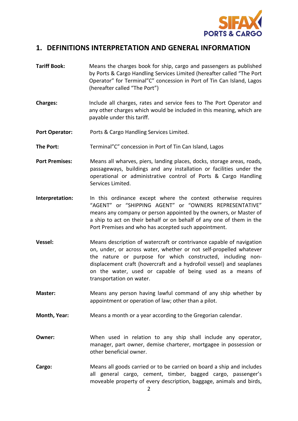

# **1. DEFINITIONS INTERPRETATION AND GENERAL INFORMATION**

- **Tariff Book:** Means the charges book for ship, cargo and passengers as published by Ports & Cargo Handling Services Limited (hereafter called "The Port Operator" for Terminal"C" concession in Port of Tin Can Island, Lagos (hereafter called "The Port")
- **Charges:** Include all charges, rates and service fees to The Port Operator and any other charges which would be included in this meaning, which are payable under this tariff.
- **Port Operator:** Ports & Cargo Handling Services Limited.
- **The Port:** Terminal"C" concession in Port of Tin Can Island, Lagos
- **Port Premises:** Means all wharves, piers, landing places, docks, storage areas, roads, passageways, buildings and any installation or facilities under the operational or administrative control of Ports & Cargo Handling Services Limited.
- **Interpretation:** In this ordinance except where the context otherwise requires "AGENT" or "SHIPPING AGENT" or "OWNERS REPRESENTATIVE" means any company or person appointed by the owners, or Master of a ship to act on their behalf or on behalf of any one of them in the Port Premises and who has accepted such appointment.
- **Vessel:** Means description of watercraft or contrivance capable of navigation on, under, or across water, whether or not self-propelled whatever the nature or purpose for which constructed, including nondisplacement craft (hovercraft and a hydrofoil vessel) and seaplanes on the water, used or capable of being used as a means of transportation on water.
- **Master:** Means any person having lawful command of any ship whether by appointment or operation of law; other than a pilot.
- **Month, Year:** Means a month or a year according to the Gregorian calendar.
- **Owner:** When used in relation to any ship shall include any operator, manager, part owner, demise charterer, mortgagee in possession or other beneficial owner.
- **Cargo:** Means all goods carried or to be carried on board a ship and includes all general cargo, cement, timber, bagged cargo, passenger's moveable property of every description, baggage, animals and birds,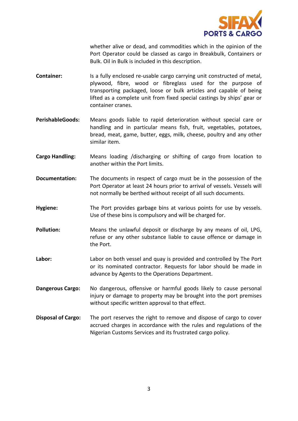

whether alive or dead, and commodities which in the opinion of the Port Operator could be classed as cargo in Breakbulk, Containers or Bulk. Oil in Bulk is included in this description.

- **Container:** Is a fully enclosed re-usable cargo carrying unit constructed of metal, plywood, fibre, wood or fibreglass used for the purpose of transporting packaged, loose or bulk articles and capable of being lifted as a complete unit from fixed special castings by ships' gear or container cranes.
- **PerishableGoods:** Means goods liable to rapid deterioration without special care or handling and in particular means fish, fruit, vegetables, potatoes, bread, meat, game, butter, eggs, milk, cheese, poultry and any other similar item.
- **Cargo Handling:** Means loading /discharging or shifting of cargo from location to another within the Port limits.
- **Documentation:** The documents in respect of cargo must be in the possession of the Port Operator at least 24 hours prior to arrival of vessels. Vessels will not normally be berthed without receipt of all such documents.
- **Hygiene:** The Port provides garbage bins at various points for use by vessels. Use of these bins is compulsory and will be charged for.
- **Pollution:** Means the unlawful deposit or discharge by any means of oil, LPG, refuse or any other substance liable to cause offence or damage in the Port.
- **Labor:** Labor on both vessel and quay is provided and controlled by The Port or its nominated contractor. Requests for labor should be made in advance by Agents to the Operations Department.
- **Dangerous Cargo:** No dangerous, offensive or harmful goods likely to cause personal injury or damage to property may be brought into the port premises without specific written approval to that effect.
- **Disposal of Cargo:** The port reserves the right to remove and dispose of cargo to cover accrued charges in accordance with the rules and regulations of the Nigerian Customs Services and its frustrated cargo policy.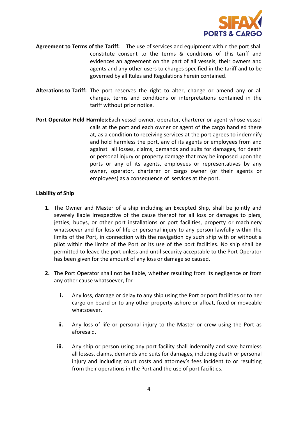

- **Agreement to Terms of the Tariff:** The use of services and equipment within the port shall constitute consent to the terms & conditions of this tariff and evidences an agreement on the part of all vessels, their owners and agents and any other users to charges specified in the tariff and to be governed by all Rules and Regulations herein contained.
- **Alterations to Tariff:** The port reserves the right to alter, change or amend any or all charges, terms and conditions or interpretations contained in the tariff without prior notice.
- **Port Operator Held Harmles:**Each vessel owner, operator, charterer or agent whose vessel calls at the port and each owner or agent of the cargo handled there at, as a condition to receiving services at the port agrees to indemnify and hold harmless the port, any of its agents or employees from and against all losses, claims, demands and suits for damages, for death or personal injury or property damage that may be imposed upon the ports or any of its agents, employees or representatives by any owner, operator, charterer or cargo owner (or their agents or employees) as a consequence of services at the port.

#### **Liability of Ship**

- **1.** The Owner and Master of a ship including an Excepted Ship, shall be jointly and severely liable irrespective of the cause thereof for all loss or damages to piers, jetties, buoys, or other port installations or port facilities, property or machinery whatsoever and for loss of life or personal injury to any person lawfully within the limits of the Port, in connection with the navigation by such ship with or without a pilot within the limits of the Port or its use of the port facilities. No ship shall be permitted to leave the port unless and until security acceptable to the Port Operator has been given for the amount of any loss or damage so caused.
- **2.** The Port Operator shall not be liable, whether resulting from its negligence or from any other cause whatsoever, for :
	- **i.** Any loss, damage or delay to any ship using the Port or port facilities or to her cargo on board or to any other property ashore or afloat, fixed or moveable whatsoever.
	- **ii.** Any loss of life or personal injury to the Master or crew using the Port as aforesaid.
	- **iii.** Any ship or person using any port facility shall indemnify and save harmless all losses, claims, demands and suits for damages, including death or personal injury and including court costs and attorney's fees incident to or resulting from their operations in the Port and the use of port facilities.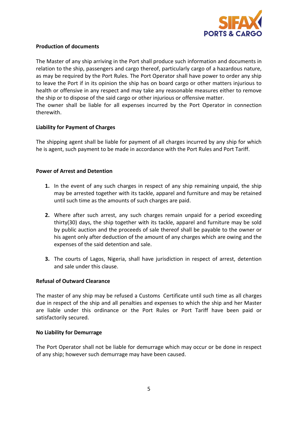

#### **Production of documents**

The Master of any ship arriving in the Port shall produce such information and documents in relation to the ship, passengers and cargo thereof, particularly cargo of a hazardous nature, as may be required by the Port Rules. The Port Operator shall have power to order any ship to leave the Port if in its opinion the ship has on board cargo or other matters injurious to health or offensive in any respect and may take any reasonable measures either to remove the ship or to dispose of the said cargo or other injurious or offensive matter. The owner shall be liable for all expenses incurred by the Port Operator in connection therewith.

#### **Liability for Payment of Charges**

The shipping agent shall be liable for payment of all charges incurred by any ship for which he is agent, such payment to be made in accordance with the Port Rules and Port Tariff.

#### **Power of Arrest and Detention**

- **1.** In the event of any such charges in respect of any ship remaining unpaid, the ship may be arrested together with its tackle, apparel and furniture and may be retained until such time as the amounts of such charges are paid.
- **2.** Where after such arrest, any such charges remain unpaid for a period exceeding thirty(30) days, the ship together with its tackle, apparel and furniture may be sold by public auction and the proceeds of sale thereof shall be payable to the owner or his agent only after deduction of the amount of any charges which are owing and the expenses of the said detention and sale.
- **3.** The courts of Lagos, Nigeria, shall have jurisdiction in respect of arrest, detention and sale under this clause.

#### **Refusal of Outward Clearance**

The master of any ship may be refused a Customs Certificate until such time as all charges due in respect of the ship and all penalties and expenses to which the ship and her Master are liable under this ordinance or the Port Rules or Port Tariff have been paid or satisfactorily secured.

#### **No Liability for Demurrage**

The Port Operator shall not be liable for demurrage which may occur or be done in respect of any ship; however such demurrage may have been caused.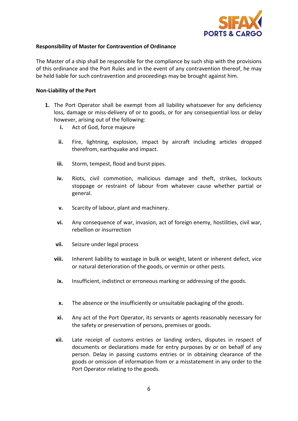

#### **Responsibility of Master for Contravention of Ordinance**

The Master of a ship shall be responsible for the compliance by such ship with the provisions of this ordinance and the Port Rules and in the event of any contravention thereof, he may be held liable for such contravention and proceedings may be brought against him.

#### **Non-Liability of the Port**

- **1.** The Port Operator shall be exempt from all liability whatsoever for any deficiency loss, damage or miss-delivery of or to goods, or for any consequential loss or delay however, arising out of the following:
	- **i.** Act of God, force majeure
	- **ii.** Fire, lightning, explosion, impact by aircraft including articles dropped therefrom, earthquake and impact.
	- **iii.** Storm, tempest, flood and burst pipes.
	- **iv.** Riots, civil commotion, malicious damage and theft, strikes, lockouts stoppage or restraint of labour from whatever cause whether partial or general.
	- **v.** Scarcity of labour, plant and machinery.
	- **vi.** Any consequence of war, invasion, act of foreign enemy, hostilities, civil war, rebellion or insurrection
	- **vii.** Seizure under legal process
	- **viii.** Inherent liability to wastage in bulk or weight, latent or inherent defect, vice or natural deterioration of the goods, or vermin or other pests.
	- **ix.** Insufficient, indistinct or erroneous marking or addressing of the goods.
	- **x.** The absence or the insufficiently or unsuitable packaging of the goods.
	- **xi.** Any act of the Port Operator, its servants or agents reasonably necessary for the safety or preservation of persons, premises or goods.
	- **xii.** Late receipt of customs entries or landing orders, disputes in respect of documents or declarations made for entry purposes by or on behalf of any person. Delay in passing customs entries or in obtaining clearance of the goods or omission of information from or a misstatement in any order to the Port Operator relating to the goods.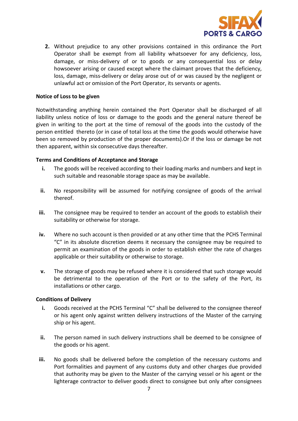

**2.** Without prejudice to any other provisions contained in this ordinance the Port Operator shall be exempt from all liability whatsoever for any deficiency, loss, damage, or miss-delivery of or to goods or any consequential loss or delay howsoever arising or caused except where the claimant proves that the deficiency, loss, damage, miss-delivery or delay arose out of or was caused by the negligent or unlawful act or omission of the Port Operator, its servants or agents.

#### **Notice of Loss to be given**

Notwithstanding anything herein contained the Port Operator shall be discharged of all liability unless notice of loss or damage to the goods and the general nature thereof be given in writing to the port at the time of removal of the goods into the custody of the person entitled thereto (or in case of total loss at the time the goods would otherwise have been so removed by production of the proper documents).Or if the loss or damage be not then apparent, within six consecutive days thereafter.

#### **Terms and Conditions of Acceptance and Storage**

- **i.** The goods will be received according to their loading marks and numbers and kept in such suitable and reasonable storage space as may be available.
- **ii.** No responsibility will be assumed for notifying consignee of goods of the arrival thereof.
- **iii.** The consignee may be required to tender an account of the goods to establish their suitability or otherwise for storage.
- **iv.** Where no such account is then provided or at any other time that the PCHS Terminal "C" in its absolute discretion deems it necessary the consignee may be required to permit an examination of the goods in order to establish either the rate of charges applicable or their suitability or otherwise to storage.
- **v.** The storage of goods may be refused where it is considered that such storage would be detrimental to the operation of the Port or to the safety of the Port, its installations or other cargo.

#### **Conditions of Delivery**

- **i.** Goods received at the PCHS Terminal "C" shall be delivered to the consignee thereof or his agent only against written delivery instructions of the Master of the carrying ship or his agent.
- **ii.** The person named in such delivery instructions shall be deemed to be consignee of the goods or his agent.
- **iii.** No goods shall be delivered before the completion of the necessary customs and Port formalities and payment of any customs duty and other charges due provided that authority may be given to the Master of the carrying vessel or his agent or the lighterage contractor to deliver goods direct to consignee but only after consignees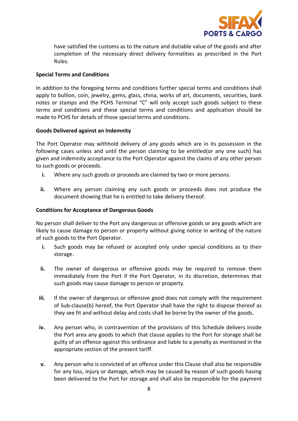

have satisfied the customs as to the nature and dutiable value of the goods and after completion of the necessary direct delivery formalities as prescribed in the Port Rules.

#### **Special Terms and Conditions**

In addition to the foregoing terms and conditions further special terms and conditions shall apply to bullion, coin, jewelry, gems, glass, china, works of art, documents, securities, bank notes or stamps and the PCHS Terminal "C" will only accept such goods subject to these terms and conditions and these special terms and conditions and application should be made to PCHS for details of those special terms and conditions.

#### **Goods Delivered against an Indemnity**

The Port Operator may withhold delivery of any goods which are in its possession in the following cases unless and until the person claiming to be entitled(or any one such) has given and indemnity acceptance to the Port Operator against the claims of any other person to such goods or proceeds.

- **i.** Where any such goods or proceeds are claimed by two or more persons.
- **ii.** Where any person claiming any such goods or proceeds does not produce the document showing that he is entitled to take delivery thereof.

#### **Conditions for Acceptance of Dangerous Goods**

No person shall deliver to the Port any dangerous or offensive goods or any goods which are likely to cause damage to person or property without giving notice in writing of the nature of such goods to the Port Operator.

- **i.** Such goods may be refused or accepted only under special conditions as to their storage.
- **ii.** The owner of dangerous or offensive goods may be required to remove them immediately from the Port if the Port Operator, in its discretion, determines that such goods may cause damage to person or property.
- **iii.** If the owner of dangerous or offensive good does not comply with the requirement of Sub-clause(b) hereof, the Port Operator shall have the right to dispose thereof as they see fit and without delay and costs shall be borne by the owner of the goods.
- **iv.** Any person who, in contravention of the provisions of this Schedule delivers inside the Port area any goods to which that clause applies to the Port for storage shall be guilty of an offence against this ordinance and liable to a penalty as mentioned in the appropriate section of the present tariff.
- **v.** Any person who is convicted of an offence under this Clause shall also be responsible for any loss, injury or damage, which may be caused by reason of such goods having been delivered to the Port for storage and shall also be responsible for the payment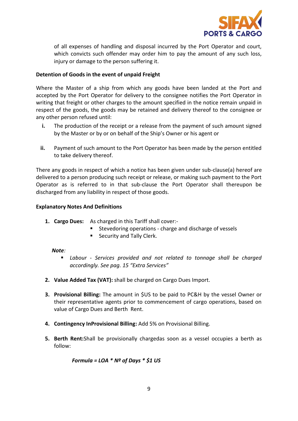

of all expenses of handling and disposal incurred by the Port Operator and court, which convicts such offender may order him to pay the amount of any such loss, injury or damage to the person suffering it.

#### **Detention of Goods in the event of unpaid Freight**

Where the Master of a ship from which any goods have been landed at the Port and accepted by the Port Operator for delivery to the consignee notifies the Port Operator in writing that freight or other charges to the amount specified in the notice remain unpaid in respect of the goods, the goods may be retained and delivery thereof to the consignee or any other person refused until:

- **i.** The production of the receipt or a release from the payment of such amount signed by the Master or by or on behalf of the Ship's Owner or his agent or
- **ii.** Payment of such amount to the Port Operator has been made by the person entitled to take delivery thereof.

There any goods in respect of which a notice has been given under sub-clause(a) hereof are delivered to a person producing such receipt or release, or making such payment to the Port Operator as is referred to in that sub-clause the Port Operator shall thereupon be discharged from any liability in respect of those goods.

#### **Explanatory Notes And Definitions**

- **1. Cargo Dues:** As charged in this Tariff shall cover:-
	- **Stevedoring operations charge and discharge of vessels**
	- **Security and Tally Clerk.**

#### *Note:*

- *Labour - Services provided and not related to tonnage shall be charged accordingly. See pag. 15 "Extra Services"*
- **2. Value Added Tax (VAT):** shall be charged on Cargo Dues Import.
- **3. Provisional Billing:** The amount in \$US to be paid to PC&H by the vessel Owner or their representative agents prior to commencement of cargo operations, based on value of Cargo Dues and Berth Rent.
- **4. Contingency InProvisional Billing:** Add 5% on Provisional Billing.
- **5. Berth Rent:**Shall be provisionally chargedas soon as a vessel occupies a berth as follow:

*Formula = LOA \* Nº of Days \* \$1 US*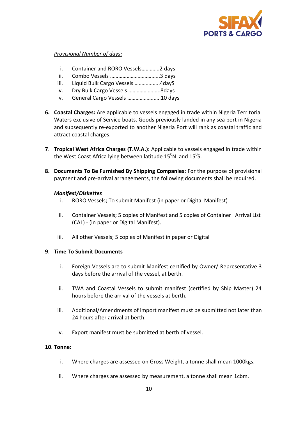

#### *Provisional Number of days:*

- i. Container and RORO Vessels………….2 days
- ii. Combo Vessels ………………………….…..3 days
- iii. Liquid Bulk Cargo Vessels ………….…..4dayS
- iv. Dry Bulk Cargo Vessels……………….…..8days
- v. General Cargo Vessels ………………..….10 days
- **6. Coastal Charges:** Are applicable to vessels engaged in trade within Nigeria Territorial Waters exclusive of Service boats. Goods previously landed in any sea port in Nigeria and subsequently re-exported to another Nigeria Port will rank as coastal traffic and attract coastal charges.
- **7**. **Tropical West Africa Charges (T.W.A.):** Applicable to vessels engaged in trade within the West Coast Africa lying between latitude 15<sup>0</sup>N and 15<sup>0</sup>S.
- **8. Documents To Be Furnished By Shipping Companies:** For the purpose of provisional payment and pre-arrival arrangements, the following documents shall be required.

#### *Manifest/Diskettes*

- i. RORO Vessels; To submit Manifest (in paper or Digital Manifest)
- ii. Container Vessels; 5 copies of Manifest and 5 copies of Container Arrival List (CAL) - (in paper or Digital Manifest).
- iii. All other Vessels; 5 copies of Manifest in paper or Digital

#### **9**. **Time To Submit Documents**

- i. Foreign Vessels are to submit Manifest certified by Owner/ Representative 3 days before the arrival of the vessel, at berth.
- ii. TWA and Coastal Vessels to submit manifest (certified by Ship Master) 24 hours before the arrival of the vessels at berth.
- iii. Additional/Amendments of import manifest must be submitted not later than 24 hours after arrival at berth.
- iv. Export manifest must be submitted at berth of vessel.

#### **10**. **Tonne:**

- i. Where charges are assessed on Gross Weight, a tonne shall mean 1000kgs.
- ii. Where charges are assessed by measurement, a tonne shall mean 1cbm.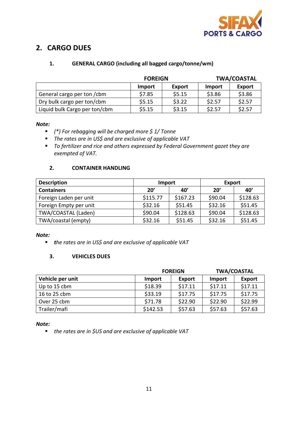

# **2. CARGO DUES**

# **1. GENERAL CARGO (including all bagged cargo/tonne/wm)**

|                               | <b>FOREIGN</b> |        |        | <b>TWA/COASTAL</b> |  |
|-------------------------------|----------------|--------|--------|--------------------|--|
|                               | Import         | Export | Import | <b>Export</b>      |  |
| General cargo per ton / cbm   | \$7.85         | \$5.15 | \$3.86 | \$3.86             |  |
| Dry bulk cargo per ton/cbm    | \$5.15         | \$3.22 | \$2.57 | \$2.57             |  |
| Liquid bulk Cargo per ton/cbm | \$5.15         | \$3.15 | \$2.57 | \$2.57             |  |

#### *Note:*

- *(\*) For rebagging will be charged more \$ 1/ Tonne*
- *The rates are in US\$ and are exclusive of applicable VAT*
- *To fertilizer and rice and others expressed by Federal Government gazet they are exempted of VAT.*

## **2. CONTAINER HANDLING**

| <b>Description</b>     | Import   |          | <b>Export</b> |          |  |
|------------------------|----------|----------|---------------|----------|--|
| <b>Containers</b>      | 20'      | 40'      | 20'           | 40'      |  |
| Foreign Laden per unit | \$115.77 | \$167.23 | \$90.04       | \$128.63 |  |
| Foreign Empty per unit | \$32.16  | \$51.45  | \$32.16       | \$51.45  |  |
| TWA/COASTAL (Laden)    | \$90.04  | \$128.63 | \$90.04       | \$128.63 |  |
| TWA/coastal (empty)    | \$32.16  | \$51.45  | \$32.16       | \$51.45  |  |

#### *Note:*

*the rates are in US\$ and are exclusive of applicable VAT*

#### **3. VEHICLES DUES**

|                  |          | <b>FOREIGN</b> | <b>TWA/COASTAL</b> |               |  |
|------------------|----------|----------------|--------------------|---------------|--|
| Vehicle per unit | Import   | Export         | Import             | <b>Export</b> |  |
| Up to 15 cbm     | \$18.39  | \$17.11        | \$17.11            | \$17.11       |  |
| 16 to 25 cbm     | \$33.19  | \$17.75        | \$17.75            | \$17.75       |  |
| Over 25 cbm      | \$71.78  | \$22.90        | \$22.90            | \$22.99       |  |
| Trailer/mafi     | \$142.53 | \$57.63        | \$57.63            | \$57.63       |  |

*Note:* 

*the rates are in \$US and are exclusive of applicable VAT*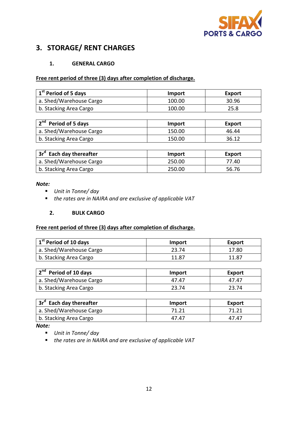

# **3. STORAGE/ RENT CHARGES**

#### **1. GENERAL CARGO**

#### **Free rent period of three (3) days after completion of discharge.**

| 1 <sup>st</sup> Period of 5 days | Import | Export |
|----------------------------------|--------|--------|
| a. Shed/Warehouse Cargo          | 100.00 | 30.96  |
| b. Stacking Area Cargo           | 100.00 | 25.8   |

| 2 <sup>nd</sup> Period of 5 days | Import | Export |
|----------------------------------|--------|--------|
| a. Shed/Warehouse Cargo          | 150.00 | 46.44  |
| b. Stacking Area Cargo           | 150.00 | 36.12  |

| 3r <sup>d</sup> Each day thereafter | Import | <b>Export</b> |
|-------------------------------------|--------|---------------|
| a. Shed/Warehouse Cargo             | 250.00 | 77.40         |
| b. Stacking Area Cargo              | 250.00 | 56.76         |

#### *Note:*

- *Unit in Tonne/ day*
- *the rates are in NAIRA and are exclusive of applicable VAT*

#### **2. BULK CARGO**

#### **Free rent period of three (3) days after completion of discharge.**

| 1 <sup>st</sup> Period of 10 days | <b>Import</b> | Export |
|-----------------------------------|---------------|--------|
| a. Shed/Warehouse Cargo           | 23.74         | 17.80  |
| b. Stacking Area Cargo            | 11.87         | 11.87  |

| 2 <sup>nd</sup> Period of 10 days | Import | Export |
|-----------------------------------|--------|--------|
| a. Shed/Warehouse Cargo           | 47.47  | 47.47  |
| b. Stacking Area Cargo            | 23.74  | 23.74  |

| 3r <sup>d</sup> Each day thereafter | Import | Export |
|-------------------------------------|--------|--------|
| a. Shed/Warehouse Cargo             | 71.21  | 71.21  |
| b. Stacking Area Cargo              | 47.47  | 47.47  |

*Note:*

- *Unit in Tonne/ day*
- *the rates are in NAIRA and are exclusive of applicable VAT*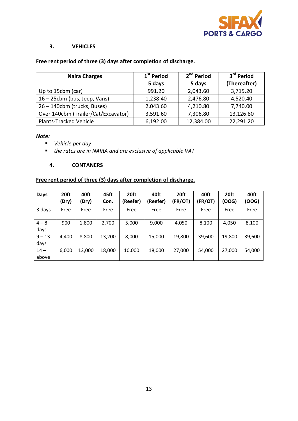

#### **3. VEHICLES**

# **Free rent period of three (3) days after completion of discharge.**

| <b>Naira Charges</b>                | 1 <sup>st</sup> Period | 2 <sup>nd</sup> Period | 3 <sup>rd</sup> Period |
|-------------------------------------|------------------------|------------------------|------------------------|
|                                     | 5 days                 | 5 days                 | (Thereafter)           |
| Up to 15cbm (car)                   | 991.20                 | 2,043.60               | 3,715.20               |
| 16 - 25cbm (bus, Jeep, Vans)        | 1,238.40               | 2,476.80               | 4,520.40               |
| 26 - 140cbm (trucks, Buses)         | 2,043.60               | 4,210.80               | 7,740.00               |
| Over 140cbm (Trailer/Cat/Excavator) | 3,591.60               | 7,306.80               | 13,126.80              |
| Plants-Tracked Vehicle              | 6,192.00               | 12,384.00              | 22,291.20              |

*Note:*

- *Vehicle per day*
- *the rates are in NAIRA and are exclusive of applicable VAT*

#### **4. CONTANERS**

# **Free rent period of three (3) days after completion of discharge.**

| <b>Days</b>      | 20ft<br>(Dry) | 40ft<br>(Dry) | 45ft<br>Con. | 20ft<br>(Reefer) | 40ft<br>(Reefer) | 20ft<br>(FR/OT) | 40ft<br>(FR/OT) | 20ft<br>OOG) | 40ft<br>(OOG) |
|------------------|---------------|---------------|--------------|------------------|------------------|-----------------|-----------------|--------------|---------------|
| 3 days           | Free          | Free          | Free         | Free             | Free             | Free            | Free            | Free         | Free          |
| $4 - 8$<br>days  | 900           | 1,800         | 2,700        | 5,000            | 9,000            | 4,050           | 8,100           | 4,050        | 8,100         |
| $9 - 13$<br>days | 4,400         | 8,800         | 13,200       | 8,000            | 15,000           | 19,800          | 39,600          | 19,800       | 39,600        |
| $14 -$<br>above  | 6,000         | 12,000        | 18,000       | 10,000           | 18,000           | 27,000          | 54,000          | 27,000       | 54,000        |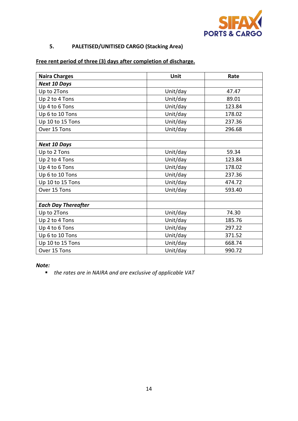

# **5. PALETISED/UNITISED CARGO (Stacking Area)**

# **Free rent period of three (3) days after completion of discharge.**

| <b>Naira Charges</b>       | Unit     | Rate   |  |
|----------------------------|----------|--------|--|
| <b>Next 10 Days</b>        |          |        |  |
| Up to 2Tons                | Unit/day | 47.47  |  |
| Up 2 to 4 Tons             | Unit/day | 89.01  |  |
| Up 4 to 6 Tons             | Unit/day | 123.84 |  |
| Up 6 to 10 Tons            | Unit/day | 178.02 |  |
| Up 10 to 15 Tons           | Unit/day | 237.36 |  |
| Over 15 Tons               | Unit/day | 296.68 |  |
|                            |          |        |  |
| <b>Next 10 Days</b>        |          |        |  |
| Up to 2 Tons               | Unit/day | 59.34  |  |
| Up 2 to 4 Tons             | Unit/day | 123.84 |  |
| Up 4 to 6 Tons             | Unit/day | 178.02 |  |
| Up 6 to 10 Tons            | Unit/day | 237.36 |  |
| Up 10 to 15 Tons           | Unit/day | 474.72 |  |
| Over 15 Tons               | Unit/day | 593.40 |  |
|                            |          |        |  |
| <b>Each Day Thereafter</b> |          |        |  |
| Up to 2Tons                | Unit/day | 74.30  |  |
| Up 2 to 4 Tons             | Unit/day | 185.76 |  |
| Up 4 to 6 Tons             | Unit/day | 297.22 |  |
| Up 6 to 10 Tons            | Unit/day | 371.52 |  |
| Up 10 to 15 Tons           | Unit/day | 668.74 |  |
| Over 15 Tons               | Unit/day | 990.72 |  |

#### *Note:*

*the rates are in NAIRA and are exclusive of applicable VAT*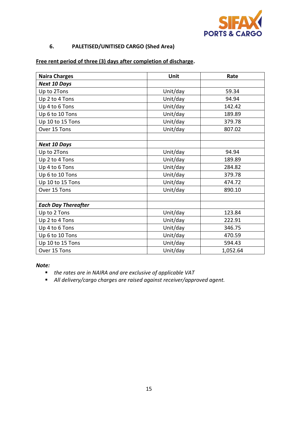

# **6. PALETISED/UNITISED CARGO (Shed Area)**

# **Free rent period of three (3) days after completion of discharge.**

| <b>Naira Charges</b>       | Unit     | Rate     |
|----------------------------|----------|----------|
| <b>Next 10 Days</b>        |          |          |
| Up to 2Tons                | Unit/day | 59.34    |
| Up 2 to 4 Tons             | Unit/day | 94.94    |
| Up 4 to 6 Tons             | Unit/day | 142.42   |
| Up 6 to 10 Tons            | Unit/day | 189.89   |
| Up 10 to 15 Tons           | Unit/day | 379.78   |
| Over 15 Tons               | Unit/day | 807.02   |
|                            |          |          |
| <b>Next 10 Days</b>        |          |          |
| Up to 2Tons                | Unit/day | 94.94    |
| Up 2 to 4 Tons             | Unit/day | 189.89   |
| Up 4 to 6 Tons             | Unit/day | 284.82   |
| Up 6 to 10 Tons            | Unit/day | 379.78   |
| Up 10 to 15 Tons           | Unit/day | 474.72   |
| Over 15 Tons               | Unit/day | 890.10   |
|                            |          |          |
| <b>Each Day Thereafter</b> |          |          |
| Up to 2 Tons               | Unit/day | 123.84   |
| Up 2 to 4 Tons             | Unit/day | 222.91   |
| Up 4 to 6 Tons             | Unit/day | 346.75   |
| Up 6 to 10 Tons            | Unit/day | 470.59   |
| Up 10 to 15 Tons           | Unit/day | 594.43   |
| Over 15 Tons               | Unit/day | 1,052.64 |

#### *Note:*

- *the rates are in NAIRA and are exclusive of applicable VAT*
- *All delivery/cargo charges are raised against receiver/approved agent.*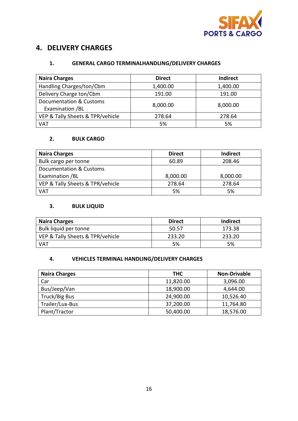

# **4. DELIVERY CHARGES**

#### **1. GENERAL CARGO TERMINALHANDLING/DELIVERY CHARGES**

| <b>Naira Charges</b>                       | <b>Direct</b> | <b>Indirect</b> |
|--------------------------------------------|---------------|-----------------|
| Handling Charges/ton/Cbm                   | 1,400.00      | 1,400.00        |
| Delivery Charge ton/Cbm                    | 191.00        | 191.00          |
| Documentation & Customs<br>Examination /BL | 8,000.00      | 8,000.00        |
| VEP & Tally Sheets & TPR/vehicle           | 278.64        | 278.64          |
| VAT                                        | 5%            | 5%              |

# **2. BULK CARGO**

| <b>Naira Charges</b>             | <b>Direct</b> | <b>Indirect</b> |
|----------------------------------|---------------|-----------------|
| Bulk cargo per tonne             | 60.89         | 208.46          |
| Documentation & Customs          |               |                 |
| Examination /BL                  | 8,000.00      | 8,000.00        |
| VEP & Tally Sheets & TPR/vehicle | 278.64        | 278.64          |
| VAT                              | 5%            | 5%              |

## **3. BULK LIQUID**

| <b>Naira Charges</b>             | <b>Direct</b> | <b>Indirect</b> |
|----------------------------------|---------------|-----------------|
| Bulk liquid per tonne            | 50.57         | 173.38          |
| VEP & Tally Sheets & TPR/vehicle | 233.20        | 233.20          |
| <b>VAT</b>                       | 5%            | 5%              |

# **4. VEHICLES TERMINAL HANDLING/DELIVERY CHARGES**

| <b>Naira Charges</b> | <b>THC</b> | <b>Non-Drivable</b> |
|----------------------|------------|---------------------|
| Car                  | 11,820.00  | 3,096.00            |
| Bus/Jeep/Van         | 18,900.00  | 4,644.00            |
| Truck/Big Bus        | 24,900.00  | 10,526.40           |
| Trailer/Lux-Bus      | 37,200.00  | 11,764.80           |
| Plant/Tractor        | 50,400.00  | 18,576.00           |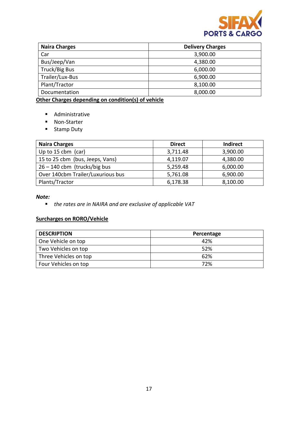

| <b>Naira Charges</b> | <b>Delivery Charges</b> |
|----------------------|-------------------------|
| Car                  | 3,900.00                |
| Bus/Jeep/Van         | 4,380.00                |
| Truck/Big Bus        | 6,000.00                |
| Trailer/Lux-Bus      | 6,900.00                |
| Plant/Tractor        | 8,100.00                |
| Documentation        | 8,000.00                |

**Other Charges depending on condition(s) of vehicle**

- Administrative
- Non-Starter
- **Stamp Duty**

| <b>Naira Charges</b>              | <b>Direct</b> | <b>Indirect</b> |
|-----------------------------------|---------------|-----------------|
| Up to 15 cbm $(car)$              | 3,711.48      | 3,900.00        |
| 15 to 25 cbm (bus, Jeeps, Vans)   | 4,119.07      | 4,380.00        |
| $26 - 140$ cbm (trucks/big bus    | 5,259.48      | 6,000.00        |
| Over 140cbm Trailer/Luxurious bus | 5,761.08      | 6,900.00        |
| Plants/Tractor                    | 6,178.38      | 8,100.00        |

#### *Note:*

*the rates are in NAIRA and are exclusive of applicable VAT*

# **Surcharges on RORO/Vehicle**

| <b>DESCRIPTION</b>    | Percentage |
|-----------------------|------------|
| One Vehicle on top    | 42%        |
| Two Vehicles on top   | 52%        |
| Three Vehicles on top | 62%        |
| Four Vehicles on top  | 72%        |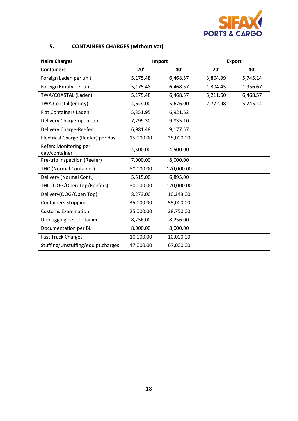

# **5. CONTAINERS CHARGES (without vat)**

| <b>Naira Charges</b>                   | Import     |            | <b>Export</b> |          |
|----------------------------------------|------------|------------|---------------|----------|
| <b>Containers</b>                      | 20'<br>40' |            | 20'           | 40'      |
| Foreign Laden per unit                 | 5,175.48   | 6,468.57   | 3,804.99      | 5,745.14 |
| Foreign Empty per unit                 | 5,175.48   | 6,468.57   | 1,304.45      | 1,956.67 |
| TWA/COASTAL (Laden)                    | 5,175.48   | 6,468.57   | 5,211.60      | 6,468.57 |
| TWA Coastal (empty)                    | 4,644.00   | 5,676.00   | 2,772.98      | 5,745.14 |
| <b>Flat Containers Laden</b>           | 5,351.95   | 6,921.62   |               |          |
| Delivery Charge-open top               | 7,299.30   | 9,835.10   |               |          |
| Delivery Charge-Reefer                 | 6,981.48   | 9,177.57   |               |          |
| Electrical Charge (Reefer) per day     | 15,000.00  | 25,000.00  |               |          |
| Refers Monitoring per<br>day/container | 4,500.00   | 4,500.00   |               |          |
| Pre-trip Inspection (Reefer)           | 7,000.00   | 8,000.00   |               |          |
| THC-(Normal Container)                 | 80,000.00  | 120,000.00 |               |          |
| Delivery (Normal Cont.)                | 5,515.00   | 6,895.00   |               |          |
| THC (OOG/Open Top/Reefers)             | 80,000.00  | 120,000.00 |               |          |
| Delivery(OOG/Open Top)                 | 8,273.00   | 10,343.00  |               |          |
| <b>Containers Stripping</b>            | 35,000.00  | 55,000.00  |               |          |
| <b>Customs Examination</b>             | 25,000.00  | 38,750.00  |               |          |
| Unplugging per container               | 8,256.00   | 8,256.00   |               |          |
| Documentation per BL                   | 8,000.00   | 8,000.00   |               |          |
| <b>Fast Track Charges</b>              | 10,000.00  | 10,000.00  |               |          |
| Stuffing/Unstuffing/equipt.charges     | 47,000.00  | 67,000.00  |               |          |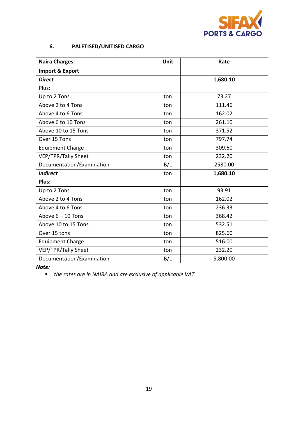

# **6. PALETISED/UNITISED CARGO**

| <b>Naira Charges</b>      | Unit | Rate     |
|---------------------------|------|----------|
| Import & Export           |      |          |
| <b>Direct</b>             |      | 1,680.10 |
| Plus:                     |      |          |
| Up to 2 Tons              | ton  | 73.27    |
| Above 2 to 4 Tons         | ton  | 111.46   |
| Above 4 to 6 Tons         | ton  | 162.02   |
| Above 6 to 10 Tons        | ton  | 261.10   |
| Above 10 to 15 Tons       | ton  | 371.52   |
| Over 15 Tons              | ton  | 797.74   |
| <b>Equipment Charge</b>   | ton  | 309.60   |
| VEP/TPR/Tally Sheet       | ton  | 232.20   |
| Documentation/Examination | B/L  | 2580.00  |
| <b>Indirect</b>           | ton  | 1,680.10 |
| Plus:                     |      |          |
| Up to 2 Tons              | ton  | 93.91    |
| Above 2 to 4 Tons         | ton  | 162.02   |
| Above 4 to 6 Tons         | ton  | 236.33   |
| Above $6 - 10$ Tons       | ton  | 368.42   |
| Above 10 to 15 Tons       | ton  | 532.51   |
| Over 15 tons              | ton  | 825.60   |
| <b>Equipment Charge</b>   | ton  | 516.00   |
| VEP/TPR/Tally Sheet       | ton  | 232.20   |
| Documentation/Examination | B/L  | 5,800.00 |

*Note:*

*the rates are in NAIRA and are exclusive of applicable VAT*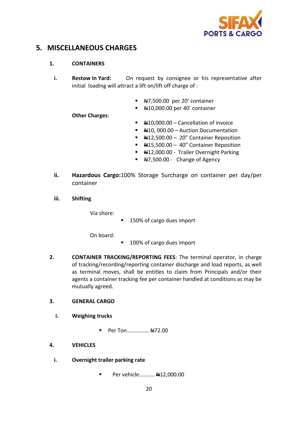

# **5. MISCELLANEOUS CHARGES**

## **1. CONTAINERS**

- **i. Restow In Yard:** On request by consignee or his representative after initial loading will attract a lift on/lift off charge of :
	- N7,500.00 per 20' container
	- #10,000.00 per 40' container

**Other Charges**:

- $\blacktriangleright$   $\blacktriangleleft$  410,000.00 Cancellation of invoice
- $\blacktriangleright$   $\blacktriangleleft$ 410, 000.00 Auction Documentation
- N12,500.00 20" Container Reposition
- $\blacktriangleright$   $\blacktriangleleft$ 415,500.00 40" Container Reposition
- H12,000.00 Trailer Overnight Parking
- $\overline{+47,500.00}$  Change of Agency
- **ii. Hazardous Cargo:**100% Storage Surcharge on container per day/per container
- **iii. Shifting**

Via shore:

150% of cargo dues import

On board:

- 100% of cargo dues import
- **2. CONTAINER TRACKING/REPORTING FEES**: The terminal operator, in charge of tracking/recording/reporting container discharge and load reports, as well as terminal moves, shall be entitles to claim from Principals and/or their agents a container tracking fee per container handled at conditions as may be mutually agreed.

## **3. GENERAL CARGO**

- **i. Weighing trucks**
	- Per Ton................ N472.00

## **4. VEHICLES**

- **i. Overnight trailer parking rate**
	- Per vehicle........... #12,000.00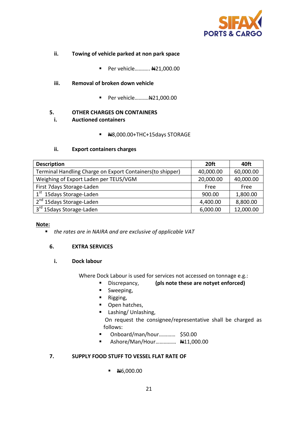

- **ii. Towing of vehicle parked at non park space**
	- Per vehicle........... #21,000.00
- **iii. Removal of broken down vehicle**
	- Per vehicle........... 4421,000.00

#### **5. OTHER CHARGES ON CONTAINERS**

- **i. Auctioned containers**
	- $H 8,000.00+THC+15$ days STORAGE

#### **ii. Export containers charges**

| <b>Description</b>                                        | 20 <sub>ft</sub> | 40ft      |
|-----------------------------------------------------------|------------------|-----------|
| Terminal Handling Charge on Export Containers(to shipper) | 40,000.00        | 60,000.00 |
| Weighing of Export Laden per TEUS/VGM                     | 20,000.00        | 40,000.00 |
| First 7days Storage-Laden                                 | Free             | Free      |
| 1 <sup>st</sup> 15 days Storage-Laden                     | 900.00           | 1,800.00  |
| 2 <sup>nd</sup> 15days Storage-Laden                      | 4,400.00         | 8,800.00  |
| 3 <sup>rd</sup> 15days Storage-Laden                      | 6,000.00         | 12,000.00 |

#### **Note:**

*the rates are in NAIRA and are exclusive of applicable VAT*

#### **6. EXTRA SERVICES**

#### **i. Dock labour**

Where Dock Labour is used for services not accessed on tonnage e.g.:

- Discrepancy, **(pls note these are notyet enforced)**
- **Sweeping,**
- **Rigging,**
- Open hatches,
- **Lashing/ Unlashing,**

On request the consignee/representative shall be charged as follows:

- Onboard/man/hour............. \$50.00
- Ashore/Man/Hour…………… N11,000.00

#### **7. SUPPLY FOOD STUFF TO VESSEL FLAT RATE OF**

 $\blacksquare$  N6,000.00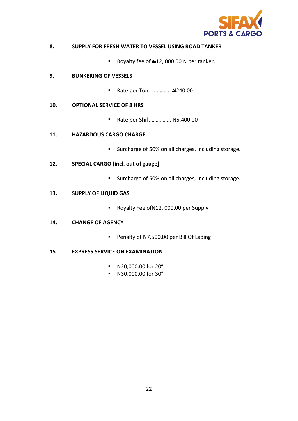

#### **8. SUPPLY FOR FRESH WATER TO VESSEL USING ROAD TANKER**

Royalty fee of  $\frac{1}{2}$ , 000.00 N per tanker.

#### **9. BUNKERING OF VESSELS**

Rate per Ton. .............. 44240.00

#### **10. OPTIONAL SERVICE OF 8 HRS**

Rate per Shift ............. 445,400.00

#### **11. HAZARDOUS CARGO CHARGE**

**Surcharge of 50% on all charges, including storage.** 

#### **12. SPECIAL CARGO (incl. out of gauge)**

■ Surcharge of 50% on all charges, including storage.

#### **13. SUPPLY OF LIQUID GAS**

Royalty Fee of 412, 000.00 per Supply

#### **14. CHANGE OF AGENCY**

Penalty of #7,500.00 per Bill Of Lading

#### **15 EXPRESS SERVICE ON EXAMINATION**

- N20,000.00 for 20"
- N30,000.00 for 30"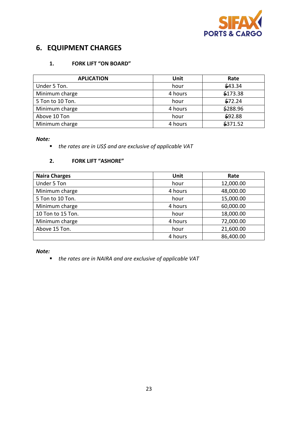

# **6. EQUIPMENT CHARGES**

## **1. FORK LIFT "ON BOARD"**

| <b>APLICATION</b> | Unit    | Rate     |
|-------------------|---------|----------|
| Under 5 Ton.      | hour    | \$43.34  |
| Minimum charge    | 4 hours | \$173.38 |
| 5 Ton to 10 Ton.  | hour    | \$72.24  |
| Minimum charge    | 4 hours | \$288.96 |
| Above 10 Ton      | hour    | \$92.88  |
| Minimum charge    | 4 hours | \$371.52 |

*Note:*

*the rates are in US\$ and are exclusive of applicable VAT*

#### **2. FORK LIFT "ASHORE"**

| <b>Naira Charges</b> | Unit    | Rate      |
|----------------------|---------|-----------|
| Under 5 Ton          | hour    | 12,000.00 |
| Minimum charge       | 4 hours | 48,000.00 |
| 5 Ton to 10 Ton.     | hour    | 15,000.00 |
| Minimum charge       | 4 hours | 60,000.00 |
| 10 Ton to 15 Ton.    | hour    | 18,000.00 |
| Minimum charge       | 4 hours | 72,000.00 |
| Above 15 Ton.        | hour    | 21,600.00 |
|                      | 4 hours | 86,400.00 |

*Note:* 

*the rates are in NAIRA and are exclusive of applicable VAT*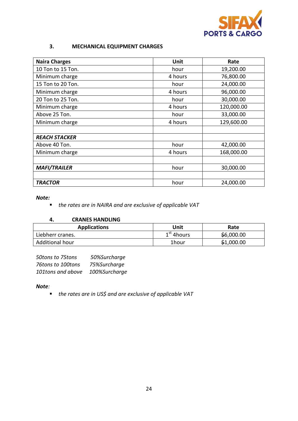

## **3. MECHANICAL EQUIPMENT CHARGES**

| <b>Naira Charges</b> | Unit    | Rate       |
|----------------------|---------|------------|
| 10 Ton to 15 Ton.    | hour    | 19,200.00  |
| Minimum charge       | 4 hours | 76,800.00  |
| 15 Ton to 20 Ton.    | hour    | 24,000.00  |
| Minimum charge       | 4 hours | 96,000.00  |
| 20 Ton to 25 Ton.    | hour    | 30,000.00  |
| Minimum charge       | 4 hours | 120,000.00 |
| Above 25 Ton.        | hour    | 33,000.00  |
| Minimum charge       | 4 hours | 129,600.00 |
|                      |         |            |
| <b>REACH STACKER</b> |         |            |
| Above 40 Ton.        | hour    | 42,000.00  |
| Minimum charge       | 4 hours | 168,000.00 |
|                      |         |            |
| <b>MAFI/TRAILER</b>  | hour    | 30,000.00  |
|                      |         |            |
| <b>TRACTOR</b>       | hour    | 24,000.00  |

#### *Note:*

*the rates are in NAIRA and are exclusive of applicable VAT*

#### **4. CRANES HANDLING**

| <b>Applications</b> | Unit         | Rate       |
|---------------------|--------------|------------|
| Liebherr cranes.    | $1st$ 4hours | \$6,000.00 |
| Additional hour     | 1hour        | \$1,000.00 |

| 50tons to 75tons  | 50%Surcharge  |
|-------------------|---------------|
| 76tons to 100tons | 75%Surcharge  |
| 101tons and above | 100%Surcharge |

#### *Note:*

*the rates are in US\$ and are exclusive of applicable VAT*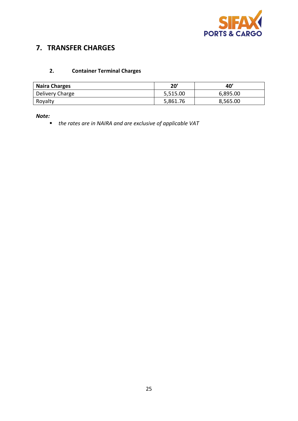

# **7. TRANSFER CHARGES**

# **2. Container Terminal Charges**

| <b>Naira Charges</b> | 20'      | 40'      |
|----------------------|----------|----------|
| Delivery Charge      | 5,515.00 | 6,895.00 |
| Royalty              | 5,861.76 | 8,565.00 |

#### *Note:*

*the rates are in NAIRA and are exclusive of applicable VAT*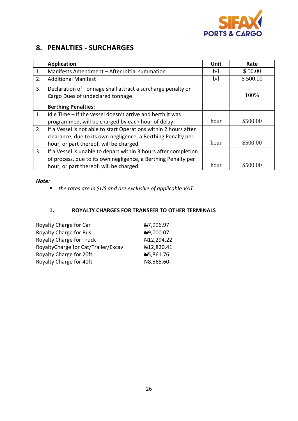

# **8. PENALTIES - SURCHARGES**

|    | <b>Application</b>                                                                              | Unit | Rate     |
|----|-------------------------------------------------------------------------------------------------|------|----------|
| 1. | Manifests Amendment - After Initial summation                                                   | b/l  | \$50.00  |
| 2. | <b>Additional Manifest</b>                                                                      | b/l  | \$500.00 |
| 3. | Declaration of Tonnage shall attract a surcharge penalty on<br>Cargo Dues of undeclared tonnage |      | 100%     |
|    | <b>Berthing Penalties:</b>                                                                      |      |          |
| 1. | Idle Time - If the vessel doesn't arrive and berth it was                                       |      |          |
|    | programmed, will be charged by each hour of delay                                               | hour | \$500.00 |
| 2. | If a Vessel is not able to start Operations within 2 hours after                                |      |          |
|    | clearance, due to its own negligence, a Berthing Penalty per                                    |      |          |
|    | hour, or part thereof, will be charged.                                                         | hour | \$500.00 |
| 3. | If a Vessel is unable to depart within 3 hours after completion                                 |      |          |
|    | of process, due to its own negligence, a Berthing Penalty per                                   |      |          |
|    | hour, or part thereof, will be charged.                                                         | hour | \$500.00 |

#### *Note:*

*the rates are in \$US and are exclusive of applicable VAT*

#### **1. ROYALTY CHARGES FOR TRANSFER TO OTHER TERMINALS**

| Royalty Charge for Car              | N7,996.97  |
|-------------------------------------|------------|
| <b>Royalty Charge for Bus</b>       | H9,000.07  |
| <b>Royalty Charge for Truck</b>     | N12,294.22 |
| RoyaltyCharge for Cat/Trailer/Excav | N12,820.41 |
| Royalty Charge for 20ft             | N5,861.76  |
| Royalty Charge for 40ft             | N8,565.60  |